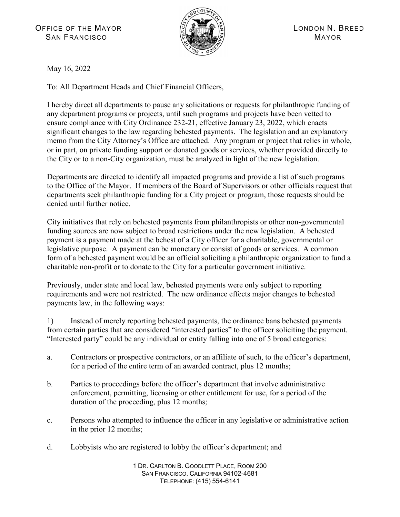

May 16, 2022

To: All Department Heads and Chief Financial Officers,

I hereby direct all departments to pause any solicitations or requests for philanthropic funding of any department programs or projects, until such programs and projects have been vetted to ensure compliance with City Ordinance 232-21, effective January 23, 2022, which enacts significant changes to the law regarding behested payments. The legislation and an explanatory memo from the City Attorney's Office are attached. Any program or project that relies in whole, or in part, on private funding support or donated goods or services, whether provided directly to the City or to a non-City organization, must be analyzed in light of the new legislation.

Departments are directed to identify all impacted programs and provide a list of such programs to the Office of the Mayor. If members of the Board of Supervisors or other officials request that departments seek philanthropic funding for a City project or program, those requests should be denied until further notice.

City initiatives that rely on behested payments from philanthropists or other non-governmental funding sources are now subject to broad restrictions under the new legislation. A behested payment is a payment made at the behest of a City officer for a charitable, governmental or legislative purpose. A payment can be monetary or consist of goods or services. A common form of a behested payment would be an official soliciting a philanthropic organization to fund a charitable non-profit or to donate to the City for a particular government initiative.

Previously, under state and local law, behested payments were only subject to reporting requirements and were not restricted. The new ordinance effects major changes to behested payments law, in the following ways:

1) Instead of merely reporting behested payments, the ordinance bans behested payments from certain parties that are considered "interested parties" to the officer soliciting the payment. "Interested party" could be any individual or entity falling into one of 5 broad categories:

- a. Contractors or prospective contractors, or an affiliate of such, to the officer's department, for a period of the entire term of an awarded contract, plus 12 months;
- b. Parties to proceedings before the officer's department that involve administrative enforcement, permitting, licensing or other entitlement for use, for a period of the duration of the proceeding, plus 12 months;
- c. Persons who attempted to influence the officer in any legislative or administrative action in the prior 12 months;
- d. Lobbyists who are registered to lobby the officer's department; and

1 DR. CARLTON B. GOODLETT PLACE, ROOM 200 SAN FRANCISCO, CALIFORNIA 94102-4681 TELEPHONE: (415) 554-6141